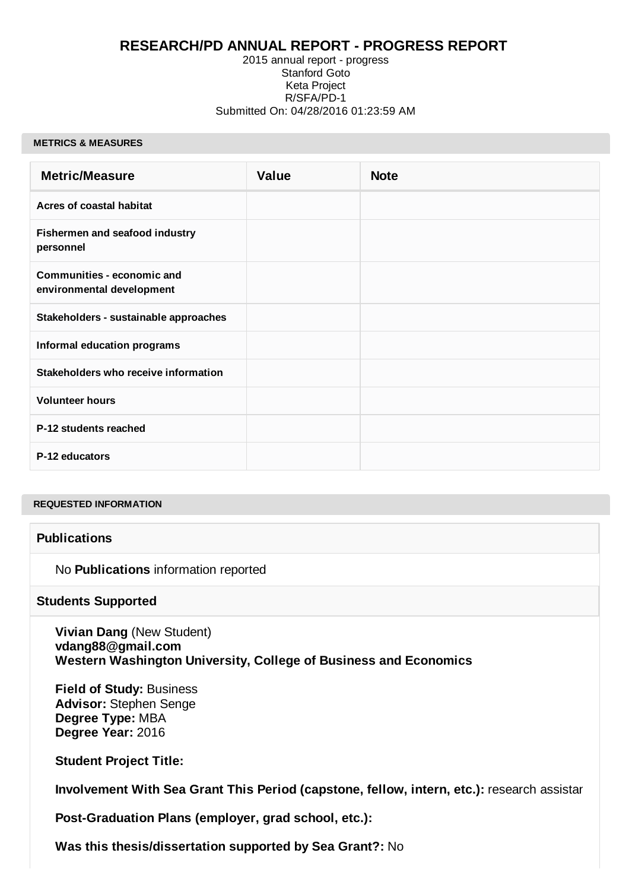## **RESEARCH/PD ANNUAL REPORT - PROGRESS REPORT**

#### 2015 annual report - progress Stanford Goto Keta Project R/SFA/PD-1 Submitted On: 04/28/2016 01:23:59 AM

#### **METRICS & MEASURES**

| <b>Metric/Measure</b>                                          | <b>Value</b> | <b>Note</b> |
|----------------------------------------------------------------|--------------|-------------|
| <b>Acres of coastal habitat</b>                                |              |             |
| Fishermen and seafood industry<br>personnel                    |              |             |
| <b>Communities - economic and</b><br>environmental development |              |             |
| Stakeholders - sustainable approaches                          |              |             |
| Informal education programs                                    |              |             |
| Stakeholders who receive information                           |              |             |
| <b>Volunteer hours</b>                                         |              |             |
| P-12 students reached                                          |              |             |
| P-12 educators                                                 |              |             |

#### **REQUESTED INFORMATION**

### **Publications**

No **Publications** information reported

#### **Students Supported**

**Vivian Dang** (New Student) **vdang88@gmail.com Western Washington University, College of Business and Economics**

**Field of Study:** Business **Advisor:** Stephen Senge **Degree Type:** MBA **Degree Year:** 2016

**Student Project Title:** 

**Involvement With Sea Grant This Period (capstone, fellow, intern, etc.):** research assistar

**Post-Graduation Plans (employer, grad school, etc.):** 

**Was this thesis/dissertation supported by Sea Grant?:** No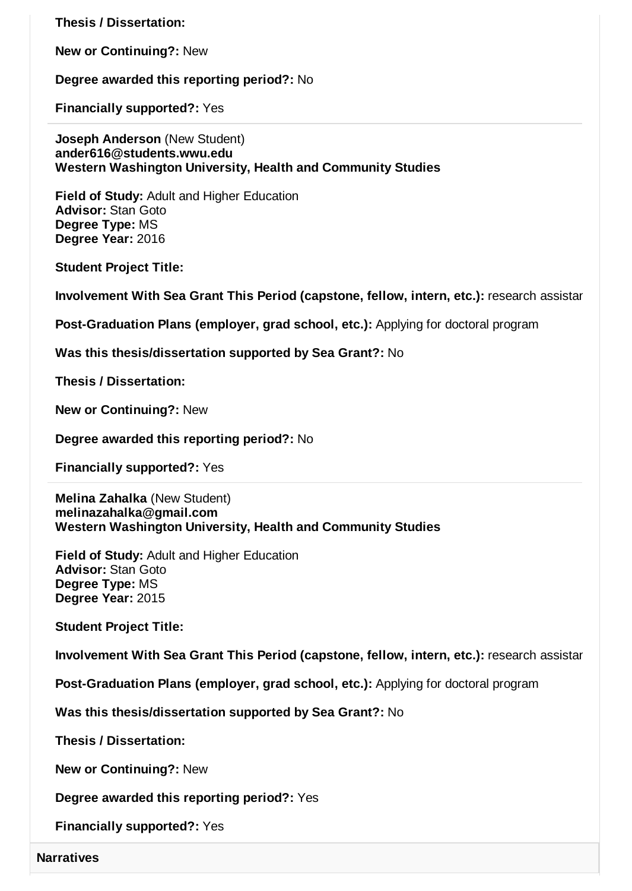**Thesis / Dissertation:** 

**New or Continuing?:** New

**Degree awarded this reporting period?:** No

**Financially supported?:** Yes

**Joseph Anderson** (New Student) **ander616@students.wwu.edu Western Washington University, Health and Community Studies**

**Field of Study:** Adult and Higher Education **Advisor:** Stan Goto **Degree Type:** MS **Degree Year:** 2016

**Student Project Title:** 

**Involvement With Sea Grant This Period (capstone, fellow, intern, etc.):** research assistar

**Post-Graduation Plans (employer, grad school, etc.):** Applying for doctoral program

**Was this thesis/dissertation supported by Sea Grant?:** No

**Thesis / Dissertation:** 

**New or Continuing?:** New

**Degree awarded this reporting period?:** No

**Financially supported?:** Yes

**Melina Zahalka** (New Student) **melinazahalka@gmail.com Western Washington University, Health and Community Studies**

**Field of Study:** Adult and Higher Education **Advisor:** Stan Goto **Degree Type:** MS **Degree Year:** 2015

**Student Project Title:** 

**Involvement With Sea Grant This Period (capstone, fellow, intern, etc.):** research assistar

**Post-Graduation Plans (employer, grad school, etc.):** Applying for doctoral program

**Was this thesis/dissertation supported by Sea Grant?:** No

**Thesis / Dissertation:** 

**New or Continuing?:** New

**Degree awarded this reporting period?:** Yes

**Financially supported?:** Yes

**Narratives**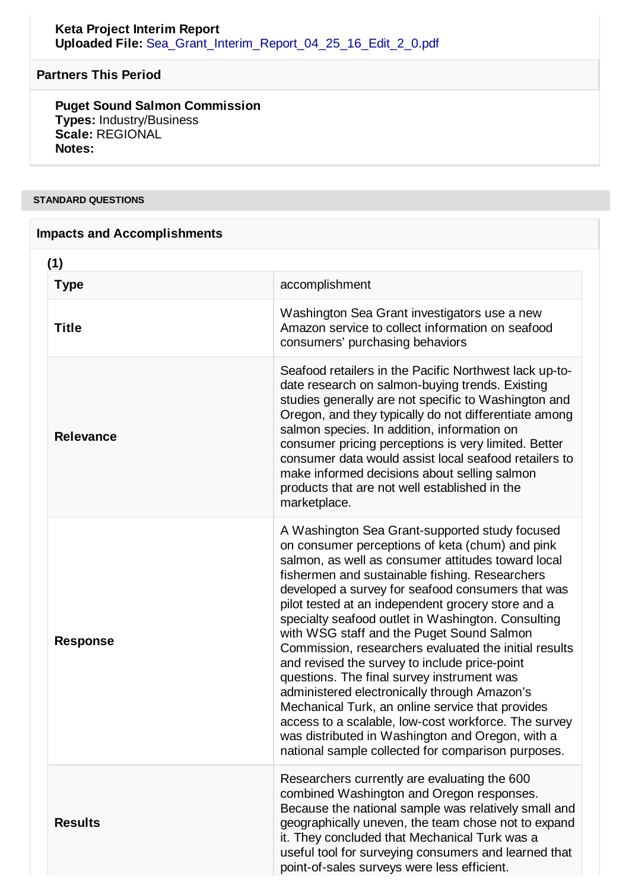## **Partners This Period**

**Puget Sound Salmon Commission Types:** Industry/Business **Scale:** REGIONAL **Notes:**

### **STANDARD QUESTIONS**

| <b>Impacts and Accomplishments</b> |                  |                                                                                                                                                                                                                                                                                                                                                                                                                                                                                                                                                                                                                                                                                                                                                                                                                                                       |  |  |
|------------------------------------|------------------|-------------------------------------------------------------------------------------------------------------------------------------------------------------------------------------------------------------------------------------------------------------------------------------------------------------------------------------------------------------------------------------------------------------------------------------------------------------------------------------------------------------------------------------------------------------------------------------------------------------------------------------------------------------------------------------------------------------------------------------------------------------------------------------------------------------------------------------------------------|--|--|
|                                    | (1)              |                                                                                                                                                                                                                                                                                                                                                                                                                                                                                                                                                                                                                                                                                                                                                                                                                                                       |  |  |
|                                    | <b>Type</b>      | accomplishment                                                                                                                                                                                                                                                                                                                                                                                                                                                                                                                                                                                                                                                                                                                                                                                                                                        |  |  |
|                                    | <b>Title</b>     | Washington Sea Grant investigators use a new<br>Amazon service to collect information on seafood<br>consumers' purchasing behaviors                                                                                                                                                                                                                                                                                                                                                                                                                                                                                                                                                                                                                                                                                                                   |  |  |
|                                    | <b>Relevance</b> | Seafood retailers in the Pacific Northwest lack up-to-<br>date research on salmon-buying trends. Existing<br>studies generally are not specific to Washington and<br>Oregon, and they typically do not differentiate among<br>salmon species. In addition, information on<br>consumer pricing perceptions is very limited. Better<br>consumer data would assist local seafood retailers to<br>make informed decisions about selling salmon<br>products that are not well established in the<br>marketplace.                                                                                                                                                                                                                                                                                                                                           |  |  |
|                                    | <b>Response</b>  | A Washington Sea Grant-supported study focused<br>on consumer perceptions of keta (chum) and pink<br>salmon, as well as consumer attitudes toward local<br>fishermen and sustainable fishing. Researchers<br>developed a survey for seafood consumers that was<br>pilot tested at an independent grocery store and a<br>specialty seafood outlet in Washington. Consulting<br>with WSG staff and the Puget Sound Salmon<br>Commission, researchers evaluated the initial results<br>and revised the survey to include price-point<br>questions. The final survey instrument was<br>administered electronically through Amazon's<br>Mechanical Turk, an online service that provides<br>access to a scalable, low-cost workforce. The survey<br>was distributed in Washington and Oregon, with a<br>national sample collected for comparison purposes. |  |  |
|                                    | <b>Results</b>   | Researchers currently are evaluating the 600<br>combined Washington and Oregon responses.<br>Because the national sample was relatively small and<br>geographically uneven, the team chose not to expand                                                                                                                                                                                                                                                                                                                                                                                                                                                                                                                                                                                                                                              |  |  |

it. They concluded that Mechanical Turk was a

point-of-sales surveys were less efficient.

useful tool for surveying consumers and learned that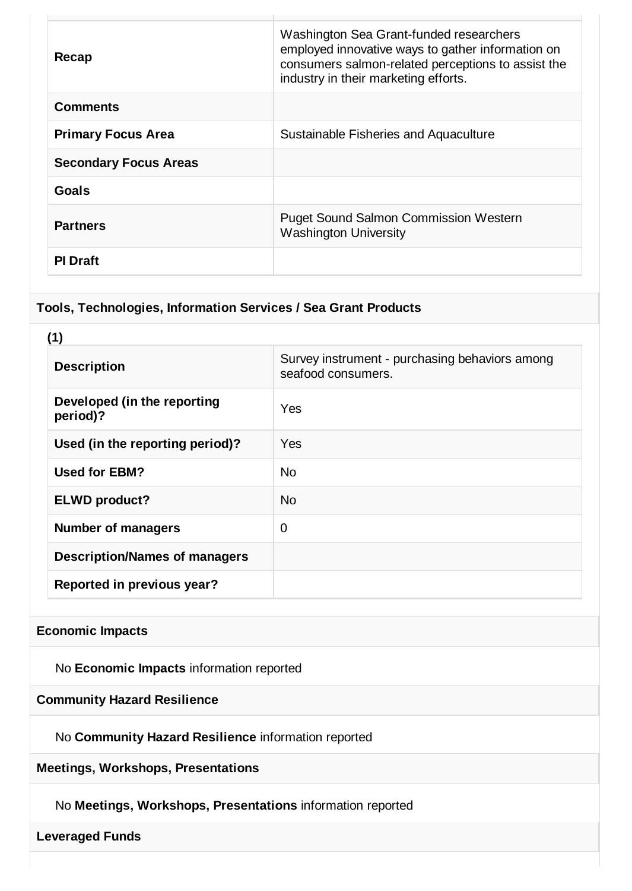| Recap                        | Washington Sea Grant-funded researchers<br>employed innovative ways to gather information on<br>consumers salmon-related perceptions to assist the<br>industry in their marketing efforts. |
|------------------------------|--------------------------------------------------------------------------------------------------------------------------------------------------------------------------------------------|
| <b>Comments</b>              |                                                                                                                                                                                            |
| <b>Primary Focus Area</b>    | Sustainable Fisheries and Aquaculture                                                                                                                                                      |
| <b>Secondary Focus Areas</b> |                                                                                                                                                                                            |
| Goals                        |                                                                                                                                                                                            |
| <b>Partners</b>              | <b>Puget Sound Salmon Commission Western</b><br><b>Washington University</b>                                                                                                               |
| <b>PI</b> Draft              |                                                                                                                                                                                            |

## **Tools, Technologies, Information Services / Sea Grant Products**

| (1)                                     |                                                                      |  |
|-----------------------------------------|----------------------------------------------------------------------|--|
| <b>Description</b>                      | Survey instrument - purchasing behaviors among<br>seafood consumers. |  |
| Developed (in the reporting<br>period)? | Yes                                                                  |  |
| Used (in the reporting period)?         | Yes                                                                  |  |
| <b>Used for EBM?</b>                    | N <sub>0</sub>                                                       |  |
| <b>ELWD</b> product?                    | <b>No</b>                                                            |  |
| <b>Number of managers</b>               | $\overline{0}$                                                       |  |
| <b>Description/Names of managers</b>    |                                                                      |  |
| Reported in previous year?              |                                                                      |  |

# **Economic Impacts**

No **Economic Impacts** information reported

# **Community Hazard Resilience**

No **Community Hazard Resilience** information reported

**Meetings, Workshops, Presentations**

No **Meetings, Workshops, Presentations** information reported

### **Leveraged Funds**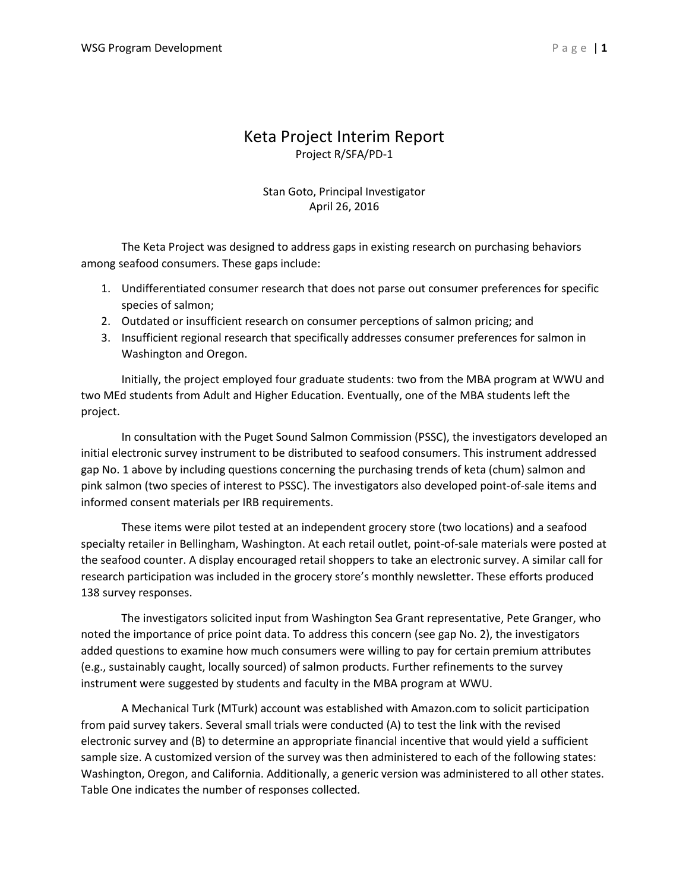## Keta Project Interim Report Project R/SFA/PD-1

### Stan Goto, Principal Investigator April 26, 2016

The Keta Project was designed to address gaps in existing research on purchasing behaviors among seafood consumers. These gaps include:

- 1. Undifferentiated consumer research that does not parse out consumer preferences for specific species of salmon;
- 2. Outdated or insufficient research on consumer perceptions of salmon pricing; and
- 3. Insufficient regional research that specifically addresses consumer preferences for salmon in Washington and Oregon.

Initially, the project employed four graduate students: two from the MBA program at WWU and two MEd students from Adult and Higher Education. Eventually, one of the MBA students left the project.

In consultation with the Puget Sound Salmon Commission (PSSC), the investigators developed an initial electronic survey instrument to be distributed to seafood consumers. This instrument addressed gap No. 1 above by including questions concerning the purchasing trends of keta (chum) salmon and pink salmon (two species of interest to PSSC). The investigators also developed point-of-sale items and informed consent materials per IRB requirements.

These items were pilot tested at an independent grocery store (two locations) and a seafood specialty retailer in Bellingham, Washington. At each retail outlet, point-of-sale materials were posted at the seafood counter. A display encouraged retail shoppers to take an electronic survey. A similar call for research participation was included in the grocery store's monthly newsletter. These efforts produced 138 survey responses.

The investigators solicited input from Washington Sea Grant representative, Pete Granger, who noted the importance of price point data. To address this concern (see gap No. 2), the investigators added questions to examine how much consumers were willing to pay for certain premium attributes (e.g., sustainably caught, locally sourced) of salmon products. Further refinements to the survey instrument were suggested by students and faculty in the MBA program at WWU.

A Mechanical Turk (MTurk) account was established with Amazon.com to solicit participation from paid survey takers. Several small trials were conducted (A) to test the link with the revised electronic survey and (B) to determine an appropriate financial incentive that would yield a sufficient sample size. A customized version of the survey was then administered to each of the following states: Washington, Oregon, and California. Additionally, a generic version was administered to all other states. Table One indicates the number of responses collected.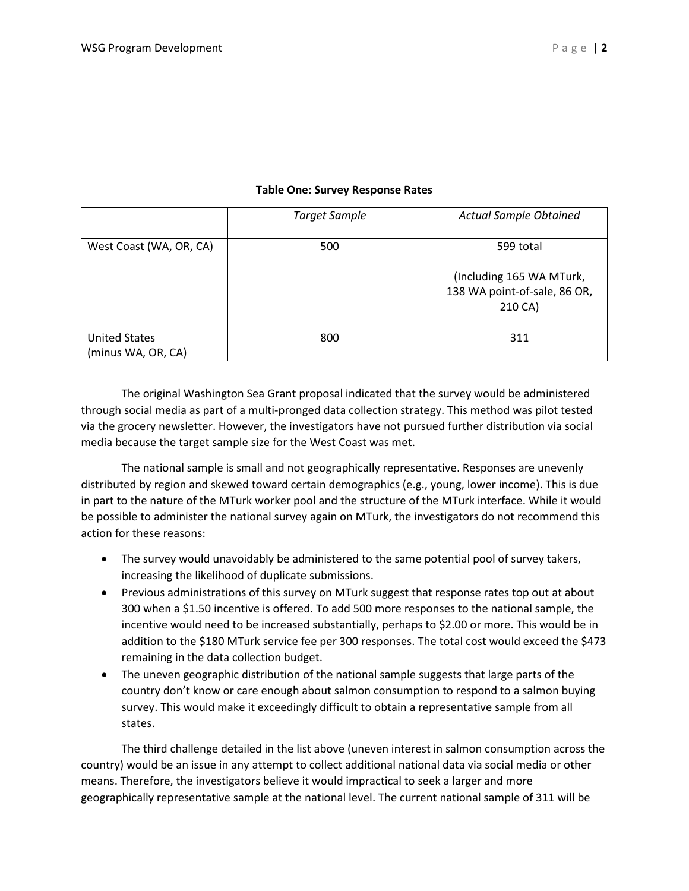#### **Table One: Survey Response Rates**

|                         | <b>Target Sample</b> | <b>Actual Sample Obtained</b>                                       |
|-------------------------|----------------------|---------------------------------------------------------------------|
| West Coast (WA, OR, CA) | 500                  | 599 total                                                           |
|                         |                      | (Including 165 WA MTurk,<br>138 WA point-of-sale, 86 OR,<br>210 CA) |
| <b>United States</b>    | 800                  | 311                                                                 |
| (minus WA, OR, CA)      |                      |                                                                     |

The original Washington Sea Grant proposal indicated that the survey would be administered through social media as part of a multi-pronged data collection strategy. This method was pilot tested via the grocery newsletter. However, the investigators have not pursued further distribution via social media because the target sample size for the West Coast was met.

The national sample is small and not geographically representative. Responses are unevenly distributed by region and skewed toward certain demographics (e.g., young, lower income). This is due in part to the nature of the MTurk worker pool and the structure of the MTurk interface. While it would be possible to administer the national survey again on MTurk, the investigators do not recommend this action for these reasons:

- The survey would unavoidably be administered to the same potential pool of survey takers, increasing the likelihood of duplicate submissions.
- Previous administrations of this survey on MTurk suggest that response rates top out at about 300 when a \$1.50 incentive is offered. To add 500 more responses to the national sample, the incentive would need to be increased substantially, perhaps to \$2.00 or more. This would be in addition to the \$180 MTurk service fee per 300 responses. The total cost would exceed the \$473 remaining in the data collection budget.
- The uneven geographic distribution of the national sample suggests that large parts of the country don't know or care enough about salmon consumption to respond to a salmon buying survey. This would make it exceedingly difficult to obtain a representative sample from all states.

The third challenge detailed in the list above (uneven interest in salmon consumption across the country) would be an issue in any attempt to collect additional national data via social media or other means. Therefore, the investigators believe it would impractical to seek a larger and more geographically representative sample at the national level. The current national sample of 311 will be